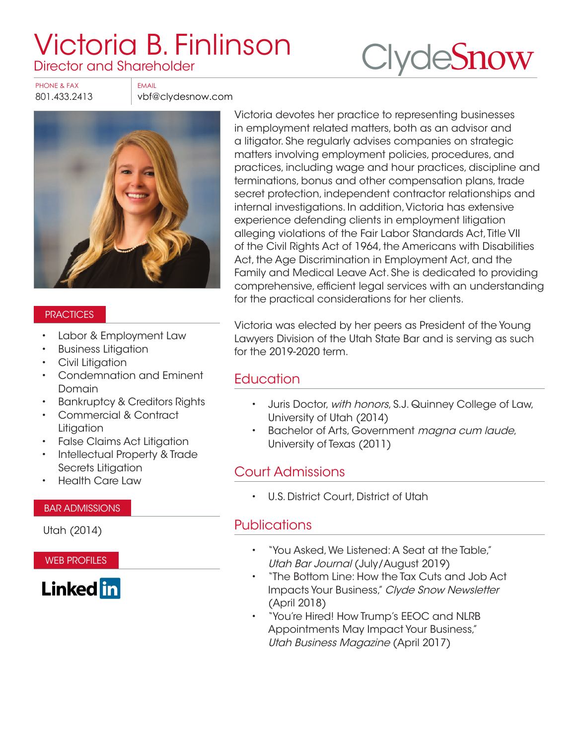# [Victoria B. Finlinson](https://www.clydesnow.com/attorneys/40-victoria-b-finlinson) Director and Shareholder



PHONE & FAX FAX FMAIL

801.433.2413 vbf@clydesnow.com



#### **PRACTICES**

- Labor & Employment Law
- Business Litigation
- Civil Litigation
- Condemnation and Eminent Domain
- Bankruptcy & Creditors Rights
- Commercial & Contract **Litigation**
- False Claims Act Litigation
- Intellectual Property & Trade Secrets Litigation
- Health Care Law

#### BAR ADMISSIONS

Utah (2014)

WEB PROFILES



Victoria devotes her practice to representing businesses in employment related matters, both as an advisor and a litigator. She regularly advises companies on strategic matters involving employment policies, procedures, and practices, including wage and hour practices, discipline and terminations, bonus and other compensation plans, trade secret protection, independent contractor relationships and internal investigations. In addition, Victoria has extensive experience defending clients in employment litigation alleging violations of the Fair Labor Standards Act, Title VII of the Civil Rights Act of 1964, the Americans with Disabilities Act, the Age Discrimination in Employment Act, and the Family and Medical Leave Act. She is dedicated to providing comprehensive, efficient legal services with an understanding for the practical considerations for her clients.

Victoria was elected by her peers as President of the Young Lawyers Division of the Utah State Bar and is serving as such for the 2019-2020 term.

## **Education**

- Juris Doctor, with honors, S.J. Quinney College of Law, University of Utah (2014)
- Bachelor of Arts, Government magna cum laude, University of Texas (2011)

## Court Admissions

• U.S. District Court, District of Utah

#### **Publications**

- "[You Asked, We Listened: A Seat at the Table](https://www.clydesnow.com/images/Articles/VBF_You_Asked_We_Listened_-_A_Seat_at_the_Table_-_UBJ_Jul-Aug_2019.pdf)," Utah Bar Journal (July/August 2019)
- "[The Bottom Line: How the Tax Cuts and Job Act](https://www.clydesnow.com/news/newsletters/462-the-bottom-line-how-the-tax-cuts-and-jobs-act-impacts-your-business)  [Impacts Your Business](https://www.clydesnow.com/news/newsletters/462-the-bottom-line-how-the-tax-cuts-and-jobs-act-impacts-your-business)," Clyde Snow Newsletter (April 2018)
- "[You're Hired! How Trump's EEOC and NLRB](https://www.clydesnow.com/images/Articles/VBF_Youre_Hired-UBM_201704.pdf)  [Appointments May Impact Your Business,](https://www.clydesnow.com/images/Articles/VBF_Youre_Hired-UBM_201704.pdf)" Utah Business Magazine (April 2017)